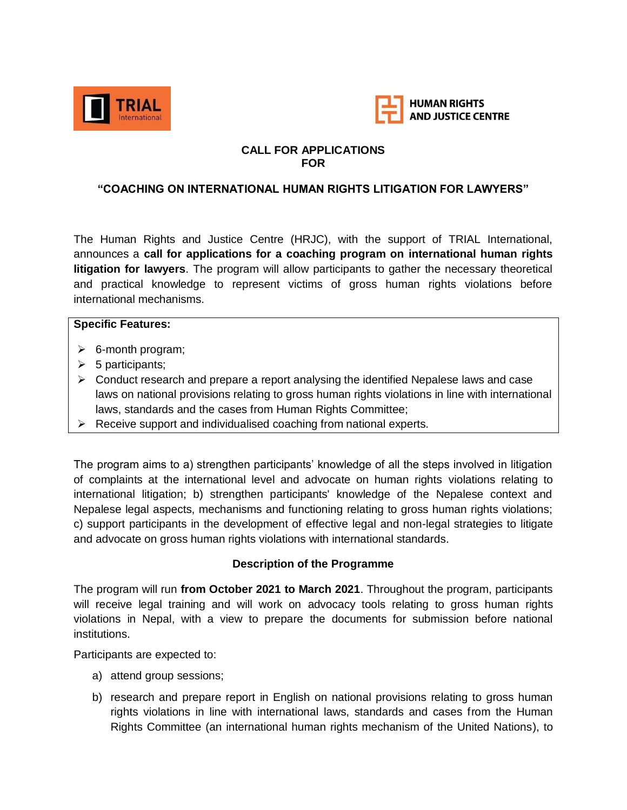



### **CALL FOR APPLICATIONS FOR**

### **"COACHING ON INTERNATIONAL HUMAN RIGHTS LITIGATION FOR LAWYERS"**

The Human Rights and Justice Centre (HRJC), with the support of TRIAL International, announces a **call for applications for a coaching program on international human rights litigation for lawyers**. The program will allow participants to gather the necessary theoretical and practical knowledge to represent victims of gross human rights violations before international mechanisms.

#### **Specific Features:**

- $\triangleright$  6-month program;
- $\triangleright$  5 participants;
- $\triangleright$  Conduct research and prepare a report analysing the identified Nepalese laws and case laws on national provisions relating to gross human rights violations in line with international laws, standards and the cases from Human Rights Committee;
- $\triangleright$  Receive support and individualised coaching from national experts.

The program aims to a) strengthen participants' knowledge of all the steps involved in litigation of complaints at the international level and advocate on human rights violations relating to international litigation; b) strengthen participants' knowledge of the Nepalese context and Nepalese legal aspects, mechanisms and functioning relating to gross human rights violations; c) support participants in the development of effective legal and non-legal strategies to litigate and advocate on gross human rights violations with international standards.

#### **Description of the Programme**

The program will run **from October 2021 to March 2021**. Throughout the program, participants will receive legal training and will work on advocacy tools relating to gross human rights violations in Nepal, with a view to prepare the documents for submission before national institutions.

Participants are expected to:

- a) attend group sessions;
- b) research and prepare report in English on national provisions relating to gross human rights violations in line with international laws, standards and cases from the Human Rights Committee (an international human rights mechanism of the United Nations), to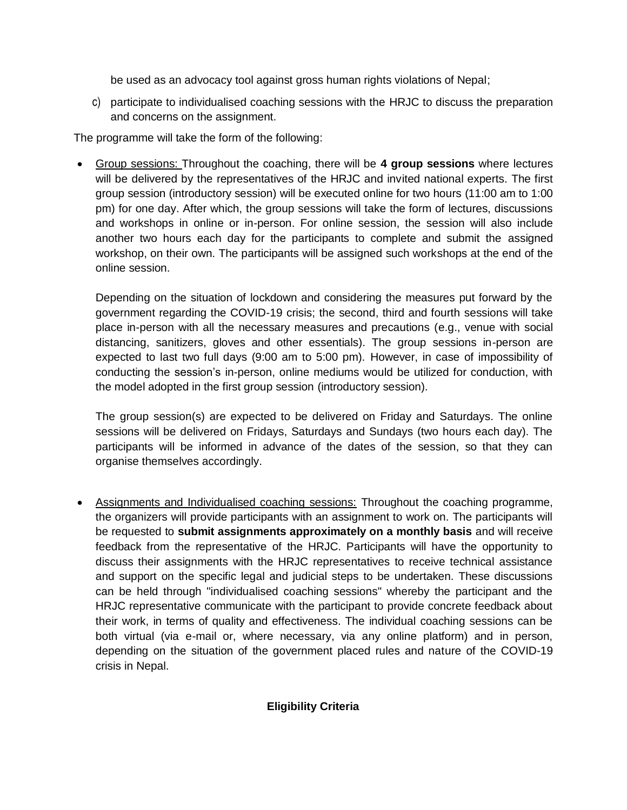be used as an advocacy tool against gross human rights violations of Nepal;

c) participate to individualised coaching sessions with the HRJC to discuss the preparation and concerns on the assignment.

The programme will take the form of the following:

 Group sessions: Throughout the coaching, there will be **4 group sessions** where lectures will be delivered by the representatives of the HRJC and invited national experts. The first group session (introductory session) will be executed online for two hours (11:00 am to 1:00 pm) for one day. After which, the group sessions will take the form of lectures, discussions and workshops in online or in-person. For online session, the session will also include another two hours each day for the participants to complete and submit the assigned workshop, on their own. The participants will be assigned such workshops at the end of the online session.

Depending on the situation of lockdown and considering the measures put forward by the government regarding the COVID-19 crisis; the second, third and fourth sessions will take place in-person with all the necessary measures and precautions (e.g., venue with social distancing, sanitizers, gloves and other essentials). The group sessions in-person are expected to last two full days (9:00 am to 5:00 pm). However, in case of impossibility of conducting the session's in-person, online mediums would be utilized for conduction, with the model adopted in the first group session (introductory session).

The group session(s) are expected to be delivered on Friday and Saturdays. The online sessions will be delivered on Fridays, Saturdays and Sundays (two hours each day). The participants will be informed in advance of the dates of the session, so that they can organise themselves accordingly.

 Assignments and Individualised coaching sessions: Throughout the coaching programme, the organizers will provide participants with an assignment to work on. The participants will be requested to **submit assignments approximately on a monthly basis** and will receive feedback from the representative of the HRJC. Participants will have the opportunity to discuss their assignments with the HRJC representatives to receive technical assistance and support on the specific legal and judicial steps to be undertaken. These discussions can be held through "individualised coaching sessions" whereby the participant and the HRJC representative communicate with the participant to provide concrete feedback about their work, in terms of quality and effectiveness. The individual coaching sessions can be both virtual (via e-mail or, where necessary, via any online platform) and in person, depending on the situation of the government placed rules and nature of the COVID-19 crisis in Nepal.

# **Eligibility Criteria**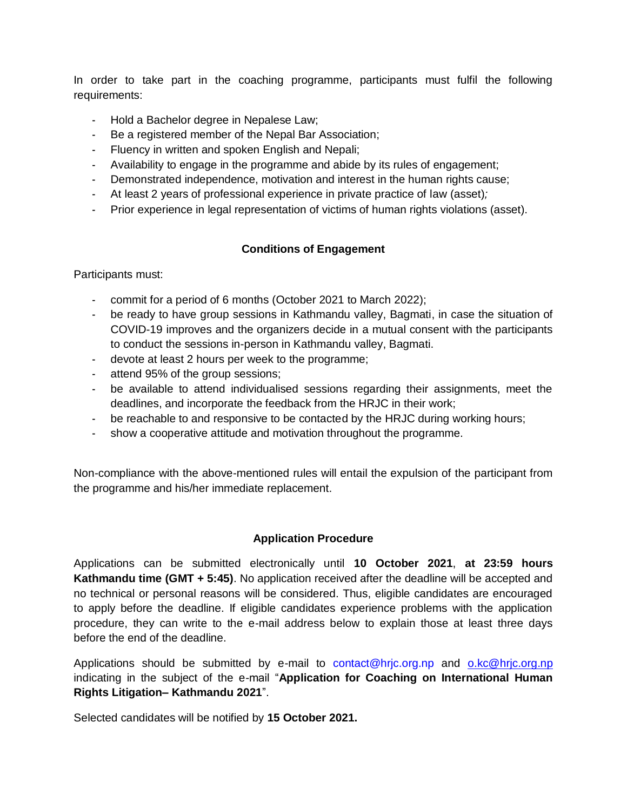In order to take part in the coaching programme, participants must fulfil the following requirements:

- Hold a Bachelor degree in Nepalese Law;
- Be a registered member of the Nepal Bar Association;
- Fluency in written and spoken English and Nepali;
- Availability to engage in the programme and abide by its rules of engagement;
- Demonstrated independence, motivation and interest in the human rights cause;
- At least 2 years of professional experience in private practice of law (asset)*;*
- Prior experience in legal representation of victims of human rights violations (asset).

### **Conditions of Engagement**

Participants must:

- commit for a period of 6 months (October 2021 to March 2022);
- be ready to have group sessions in Kathmandu valley, Bagmati, in case the situation of COVID-19 improves and the organizers decide in a mutual consent with the participants to conduct the sessions in-person in Kathmandu valley, Bagmati.
- devote at least 2 hours per week to the programme;
- attend 95% of the group sessions;
- be available to attend individualised sessions regarding their assignments, meet the deadlines, and incorporate the feedback from the HRJC in their work;
- be reachable to and responsive to be contacted by the HRJC during working hours;
- show a cooperative attitude and motivation throughout the programme.

Non-compliance with the above-mentioned rules will entail the expulsion of the participant from the programme and his/her immediate replacement.

### **Application Procedure**

Applications can be submitted electronically until **10 October 2021**, **at 23:59 hours Kathmandu time (GMT + 5:45)**. No application received after the deadline will be accepted and no technical or personal reasons will be considered. Thus, eligible candidates are encouraged to apply before the deadline. If eligible candidates experience problems with the application procedure, they can write to the e-mail address below to explain those at least three days before the end of the deadline.

Applications should be submitted by e-mail to [contact@hrjc.org.np](mailto:contact@hrjc.org.np) and [o.kc@hrjc.org.np](mailto:o.kc@hrjc.org.np) indicating in the subject of the e-mail "**Application for Coaching on International Human Rights Litigation– Kathmandu 2021**".

Selected candidates will be notified by **15 October 2021.**